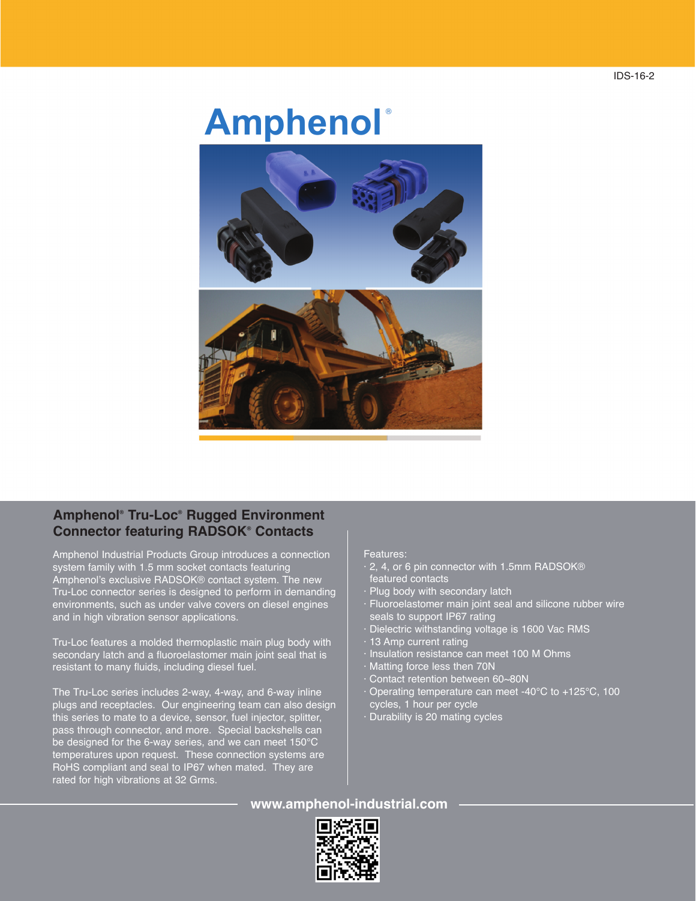## **Amphenol** ®

## **Amphenol ® Tru-Loc® Rugged Environment Connector featuring RADSOK® Contacts**

Amphenol Industrial Products Group introduces a connection system family with 1.5 mm socket contacts featuring Amphenol's exclusive RADSOK® contact system. The new Tru-Loc connector series is designed to perform in demanding environments, such as under valve covers on diesel engines and in high vibration sensor applications.

Tru-Loc features a molded thermoplastic main plug body with secondary latch and a fluoroelastomer main joint seal that is resistant to many fluids, including diesel fuel.

The Tru-Loc series includes 2-way, 4-way, and 6-way inline plugs and receptacles. Our engineering team can also design this series to mate to a device, sensor, fuel injector, splitter, pass through connector, and more. Special backshells can be designed for the 6-way series, and we can meet 150°C temperatures upon request. These connection systems are RoHS compliant and seal to IP67 when mated. They are rated for high vibrations at 32 Grms.

## Features:

- · 2, 4, or 6 pin connector with 1.5mm RADSOK® featured contacts
- Plug body with secondary latch
- · Fluoroelastomer main joint seal and silicone rubber wire seals to support IP67 rating
- Dielectric withstanding voltage is 1600 Vac RMS
- 13 Amp current rating
- · Insulation resistance can meet 100 M Ohms
- · Matting force less then 70N
- Contact retention between 60~80N
- Operating temperature can meet -40°C to +125°C, 100 cycles, 1 hour per cycle
- · Durability is 20 mating cycles

**www.amphenol-industrial.com**